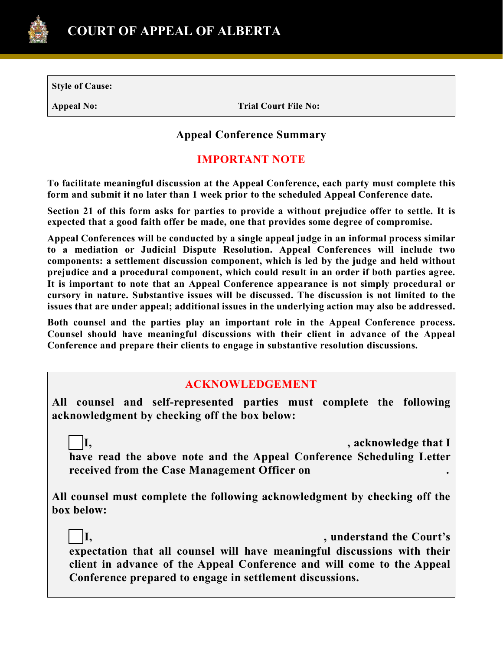

**Style of Cause:**

**Appeal No: Trial Court File No:**

# **Appeal Conference Summary**

# **IMPORTANT NOTE**

**To facilitate meaningful discussion at the Appeal Conference, each party must complete this form and submit it no later than 1 week prior to the scheduled Appeal Conference date.**

**Section 21 of this form asks for parties to provide a without prejudice offer to settle. It is expected that a good faith offer be made, one that provides some degree of compromise.** 

**Appeal Conferences will be conducted by a single appeal judge in an informal process similar to a mediation or Judicial Dispute Resolution. Appeal Conferences will include two components: a settlement discussion component, which is led by the judge and held without prejudice and a procedural component, which could result in an order if both parties agree. It is important to note that an Appeal Conference appearance is not simply procedural or cursory in nature. Substantive issues will be discussed. The discussion is not limited to the issues that are under appeal; additional issues in the underlying action may also be addressed.**

**Both counsel and the parties play an important role in the Appeal Conference process. Counsel should have meaningful discussions with their client in advance of the Appeal Conference and prepare their clients to engage in substantive resolution discussions.** 

## **ACKNOWLEDGEMENT**

**All counsel and self-represented parties must complete the following acknowledgment by checking off the box below:**

☐ **I, , acknowledge that I have read the above note and the Appeal Conference Scheduling Letter received from the Case Management Officer on .**

**All counsel must complete the following acknowledgment by checking off the box below:**

☐ **I, , understand the Court's expectation that all counsel will have meaningful discussions with their client in advance of the Appeal Conference and will come to the Appeal Conference prepared to engage in settlement discussions.**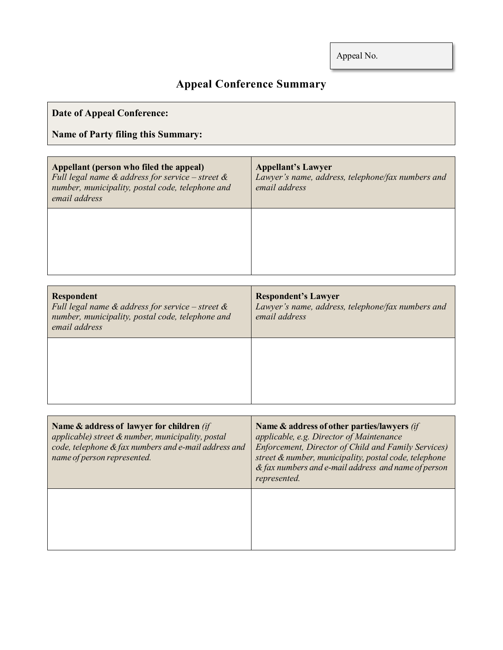# **Appeal Conference Summary**

| <b>Date of Appeal Conference:</b>                                                                                                                                      |                                                                                                  |
|------------------------------------------------------------------------------------------------------------------------------------------------------------------------|--------------------------------------------------------------------------------------------------|
| <b>Name of Party filing this Summary:</b>                                                                                                                              |                                                                                                  |
| Appellant (person who filed the appeal)<br>Full legal name $\&$ address for service – street $\&$<br>number, municipality, postal code, telephone and<br>email address | <b>Appellant's Lawyer</b><br>Lawyer's name, address, telephone/fax numbers and<br>email address  |
|                                                                                                                                                                        |                                                                                                  |
| <b>Respondent</b><br>Full legal name $\&$ address for service – street $\&$<br>number, municipality, postal code, telephone and<br>email address                       | <b>Respondent's Lawyer</b><br>Lawyer's name, address, telephone/fax numbers and<br>email address |

| Name & address of lawyer for children (if<br>applicable) street & number, municipality, postal<br>code, telephone & fax numbers and e-mail address and<br>name of person represented. | Name & address of other parties/lawyers (if<br>applicable, e.g. Director of Maintenance<br><b>Enforcement, Director of Child and Family Services)</b><br>street & number, municipality, postal code, telephone<br>& fax numbers and e-mail address and name of person<br>represented. |
|---------------------------------------------------------------------------------------------------------------------------------------------------------------------------------------|---------------------------------------------------------------------------------------------------------------------------------------------------------------------------------------------------------------------------------------------------------------------------------------|
|                                                                                                                                                                                       |                                                                                                                                                                                                                                                                                       |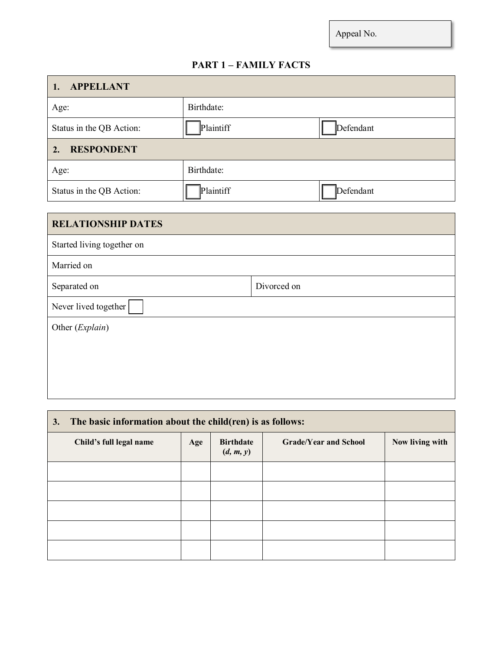## **PART 1 – FAMILY FACTS**

| <b>APPELLANT</b><br>1.     |            |             |           |
|----------------------------|------------|-------------|-----------|
| Age:                       | Birthdate: |             |           |
| Status in the QB Action:   | Plaintiff  |             | Defendant |
| <b>RESPONDENT</b><br>2.    |            |             |           |
| Age:                       | Birthdate: |             |           |
| Status in the QB Action:   | Plaintiff  |             | Defendant |
|                            |            |             |           |
| <b>RELATIONSHIP DATES</b>  |            |             |           |
| Started living together on |            |             |           |
| Married on                 |            |             |           |
| Separated on               |            | Divorced on |           |
| Never lived together       |            |             |           |
| Other (Explain)            |            |             |           |
|                            |            |             |           |
|                            |            |             |           |
|                            |            |             |           |
|                            |            |             |           |

| 3. | The basic information about the child(ren) is as follows: |     |                               |                              |                 |
|----|-----------------------------------------------------------|-----|-------------------------------|------------------------------|-----------------|
|    | Child's full legal name                                   | Age | <b>Birthdate</b><br>(d, m, y) | <b>Grade/Year and School</b> | Now living with |
|    |                                                           |     |                               |                              |                 |
|    |                                                           |     |                               |                              |                 |
|    |                                                           |     |                               |                              |                 |
|    |                                                           |     |                               |                              |                 |
|    |                                                           |     |                               |                              |                 |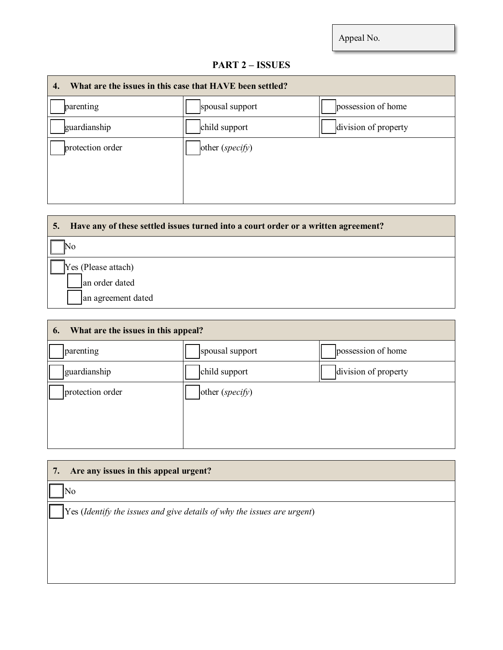# **PART 2 – ISSUES**

| What are the issues in this case that HAVE been settled?<br>4. |                   |                      |
|----------------------------------------------------------------|-------------------|----------------------|
| parenting                                                      | spousal support   | possession of home   |
| guardianship                                                   | child support     | division of property |
| protection order                                               | other $(specify)$ |                      |

| Have any of these settled issues turned into a court order or a written agreement?<br>5. |
|------------------------------------------------------------------------------------------|
| No                                                                                       |
| Yes (Please attach)                                                                      |
| an order dated                                                                           |
| an agreement dated                                                                       |

| What are the issues in this appeal?<br>6. |                      |  |  |
|-------------------------------------------|----------------------|--|--|
| spousal support                           | possession of home   |  |  |
| child support                             | division of property |  |  |
| other (specify)                           |                      |  |  |
|                                           |                      |  |  |
|                                           |                      |  |  |
|                                           |                      |  |  |

| Are any issues in this appeal urgent?<br>7.                                      |
|----------------------------------------------------------------------------------|
| No                                                                               |
| $\gamma$ Yes (Identify the issues and give details of why the issues are urgent) |
|                                                                                  |
|                                                                                  |
|                                                                                  |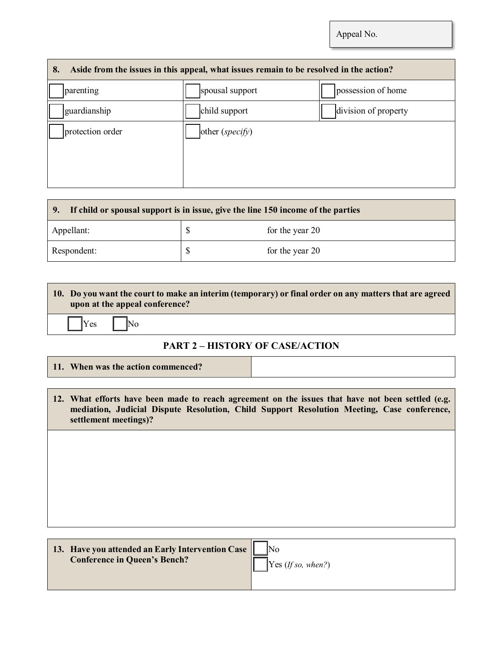| Aside from the issues in this appeal, what issues remain to be resolved in the action?<br>8. |                   |                      |
|----------------------------------------------------------------------------------------------|-------------------|----------------------|
| parenting                                                                                    | spousal support   | possession of home   |
| guardianship                                                                                 | child support     | division of property |
| protection order                                                                             | other $(specify)$ |                      |
|                                                                                              |                   |                      |
|                                                                                              |                   |                      |
|                                                                                              |                   |                      |

| If child or spousal support is in issue, give the line 150 income of the parties<br>  9. |  |                 |
|------------------------------------------------------------------------------------------|--|-----------------|
| Appellant:                                                                               |  | for the year 20 |
| Respondent:                                                                              |  | for the year 20 |

| 10. Do you want the court to make an interim (temporary) or final order on any matters that are agreed<br>upon at the appeal conference? |
|------------------------------------------------------------------------------------------------------------------------------------------|
| $\begin{array}{ c c c c c } \hline \end{array}$ No                                                                                       |
| <b>DIDTA</b> HIGTODY OF CLOBILOTION                                                                                                      |

## **PART 2 – HISTORY OF CASE/ACTION**

**11. When was the action commenced?**

| 12. What efforts have been made to reach agreement on the issues that have not been settled (e.g. |
|---------------------------------------------------------------------------------------------------|
| mediation, Judicial Dispute Resolution, Child Support Resolution Meeting, Case conference,        |
| settlement meetings)?                                                                             |

| 13. Have you attended an Early Intervention Case |                    |
|--------------------------------------------------|--------------------|
| <b>Conference in Queen's Bench?</b>              | Yes (If so, when?) |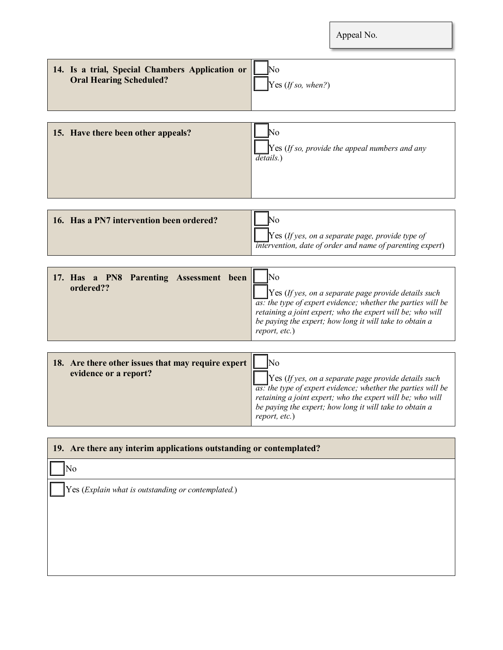| 14. Is a trial, Special Chambers Application or<br><b>Oral Hearing Scheduled?</b> | No<br>Yes (If so, when?)                                                                                                                                                                                                                                                                    |
|-----------------------------------------------------------------------------------|---------------------------------------------------------------------------------------------------------------------------------------------------------------------------------------------------------------------------------------------------------------------------------------------|
| 15. Have there been other appeals?                                                | No<br>$\gamma$ Yes (If so, provide the appeal numbers and any<br>details.)                                                                                                                                                                                                                  |
| 16. Has a PN7 intervention been ordered?                                          | No<br>$Yes$ (If yes, on a separate page, provide type of<br>intervention, date of order and name of parenting expert)                                                                                                                                                                       |
| 17. Has a PN8 Parenting Assessment been<br>ordered??                              | <b>No</b><br>$Yes$ (If yes, on a separate page provide details such<br>$\overline{as}$ : the type of expert evidence; whether the parties will be<br>retaining a joint expert; who the expert will be; who will<br>be paying the expert; how long it will take to obtain a<br>report, etc.) |
| 18. Are there other issues that may require expert<br>evidence or a report?       | No<br>$Yes$ (If yes, on a separate page provide details such<br>$\overline{as}$ : the type of expert evidence; whether the parties will be<br>retaining a joint expert; who the expert will be; who will<br>be paying the expert; how long it will take to obtain a                         |

| No                                                 |  |
|----------------------------------------------------|--|
|                                                    |  |
| Yes (Explain what is outstanding or contemplated.) |  |
|                                                    |  |
|                                                    |  |
|                                                    |  |

*report, etc.*)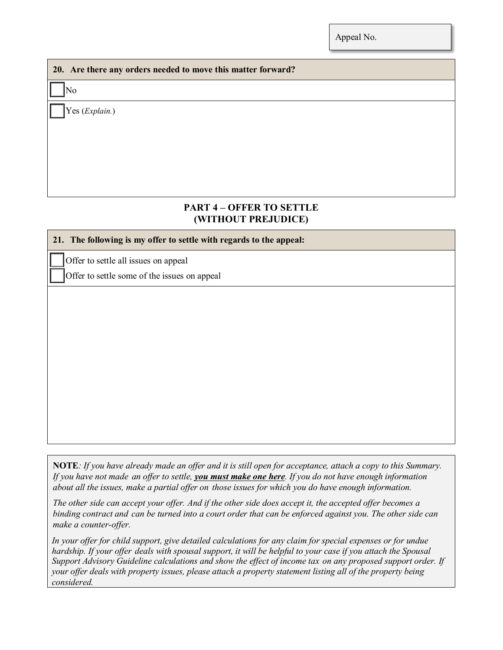### **20. Are there any orders needed to move this matter forward?**

No

Yes (*Explain.*)

## **PART 4 – OFFER TO SETTLE (WITHOUT PREJUDICE)**

#### **21. The following is my offer to settle with regards to the appeal:**

Offer to settle all issues on appeal

Offer to settle some of the issues on appeal

**NOTE***: If you have already made an offer and it is still open for acceptance, attach a copy to this Summary. If you have not made an offer to settle, you must make one here. If you do not have enough information about all the issues, make a partial offer on those issues for which you do have enough information.*

*The other side can accept your offer. And if the other side does accept it, the accepted offer becomes a* binding contract and can be turned into a court order that can be enforced against you. The other side can *make a counter-offer.*

*In your offer for child support, give detailed calculations for any claim for special expenses or for undue hardship. If your offer deals with spousal support, it will be helpful to your case if you attach the Spousal Support Advisory Guideline calculations and show the effect of income tax on any proposed support order. If your offer deals with property issues, please attach a property statement listing all of the property being considered.*